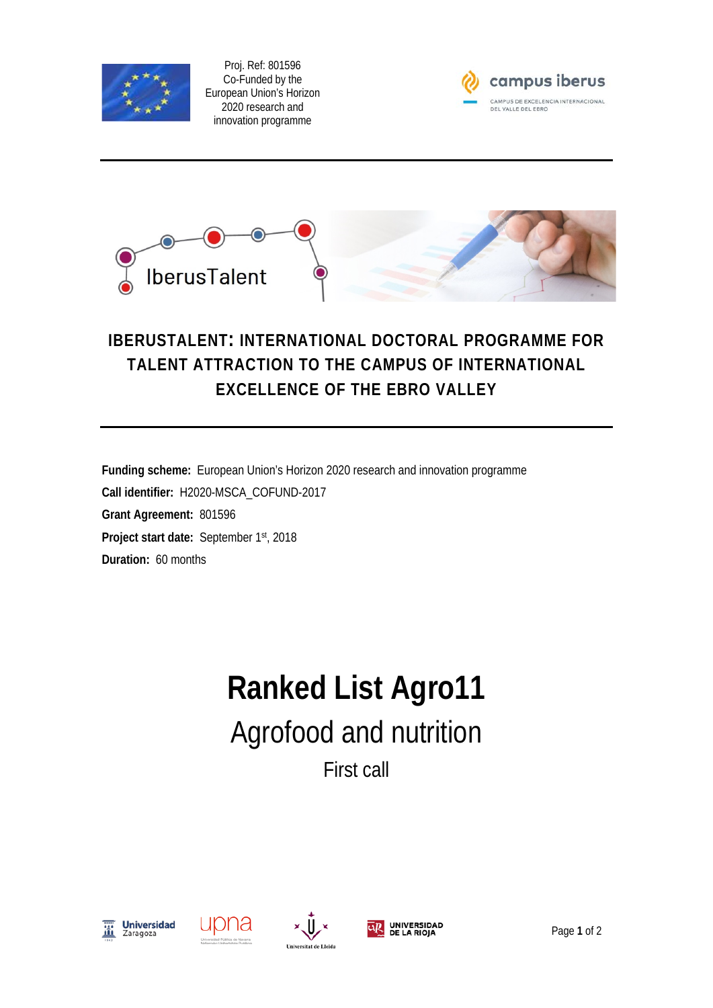

Proj. Ref: 801596 Co-Funded by the European Union's Horizon 2020 research and innovation programme





## **IBERUSTALENT: INTERNATIONAL DOCTORAL PROGRAMME FOR TALENT ATTRACTION TO THE CAMPUS OF INTERNATIONAL EXCELLENCE OF THE EBRO VALLEY**

**Funding scheme:** European Union's Horizon 2020 research and innovation programme **Call identifier:** H2020-MSCA\_COFUND-2017 **Grant Agreement:** 801596 **Project start date:** September 1st, 2018 **Duration:** 60 months

## **Ranked List Agro11** Agrofood and nutrition First call